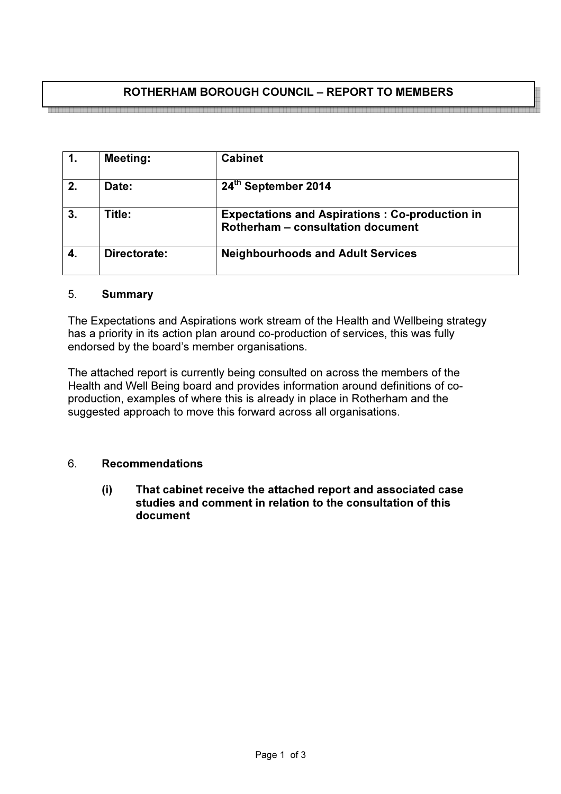# ROTHERHAM BOROUGH COUNCIL – REPORT TO MEMBERS

<u>stala laine laine laine laine laine laine la</u>

| $\mathbf 1$ .          | <b>Meeting:</b> | <b>Cabinet</b>                                                                             |
|------------------------|-----------------|--------------------------------------------------------------------------------------------|
| 2.                     | <b>Date:</b>    | 24th September 2014                                                                        |
| 3.                     | Title:          | <b>Expectations and Aspirations: Co-production in</b><br>Rotherham - consultation document |
| $\boldsymbol{\Lambda}$ | Directorate:    | <b>Neighbourhoods and Adult Services</b>                                                   |

#### 5. Summary

The Expectations and Aspirations work stream of the Health and Wellbeing strategy has a priority in its action plan around co-production of services, this was fully endorsed by the board's member organisations.

The attached report is currently being consulted on across the members of the Health and Well Being board and provides information around definitions of coproduction, examples of where this is already in place in Rotherham and the suggested approach to move this forward across all organisations.

# 6. Recommendations

(i) That cabinet receive the attached report and associated case studies and comment in relation to the consultation of this document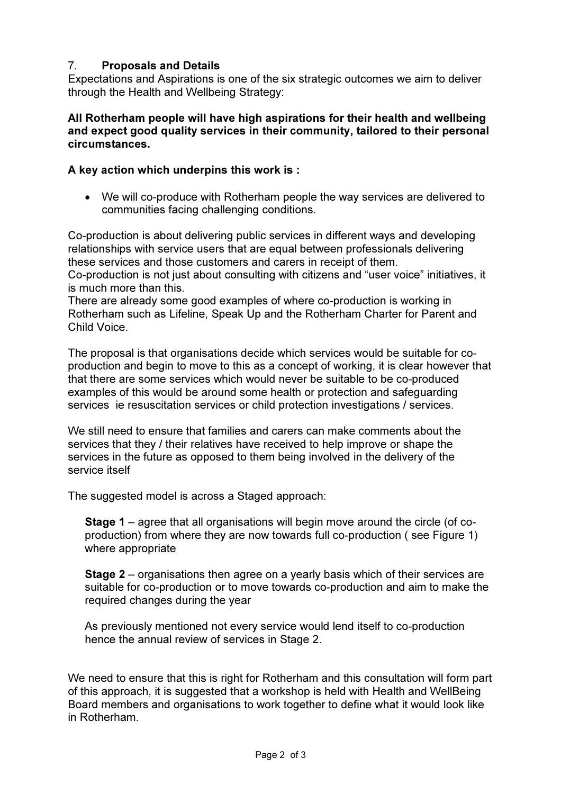# 7. Proposals and Details

Expectations and Aspirations is one of the six strategic outcomes we aim to deliver through the Health and Wellbeing Strategy:

# All Rotherham people will have high aspirations for their health and wellbeing and expect good quality services in their community, tailored to their personal circumstances.

# A key action which underpins this work is :

• We will co-produce with Rotherham people the way services are delivered to communities facing challenging conditions.

Co-production is about delivering public services in different ways and developing relationships with service users that are equal between professionals delivering these services and those customers and carers in receipt of them. Co-production is not just about consulting with citizens and "user voice" initiatives, it is much more than this.

There are already some good examples of where co-production is working in Rotherham such as Lifeline, Speak Up and the Rotherham Charter for Parent and Child Voice.

The proposal is that organisations decide which services would be suitable for coproduction and begin to move to this as a concept of working, it is clear however that that there are some services which would never be suitable to be co-produced examples of this would be around some health or protection and safeguarding services ie resuscitation services or child protection investigations / services.

We still need to ensure that families and carers can make comments about the services that they / their relatives have received to help improve or shape the services in the future as opposed to them being involved in the delivery of the service itself

The suggested model is across a Staged approach:

Stage 1 – agree that all organisations will begin move around the circle (of coproduction) from where they are now towards full co-production ( see Figure 1) where appropriate

Stage 2 – organisations then agree on a yearly basis which of their services are suitable for co-production or to move towards co-production and aim to make the required changes during the year

As previously mentioned not every service would lend itself to co-production hence the annual review of services in Stage 2.

We need to ensure that this is right for Rotherham and this consultation will form part of this approach, it is suggested that a workshop is held with Health and WellBeing Board members and organisations to work together to define what it would look like in Rotherham.